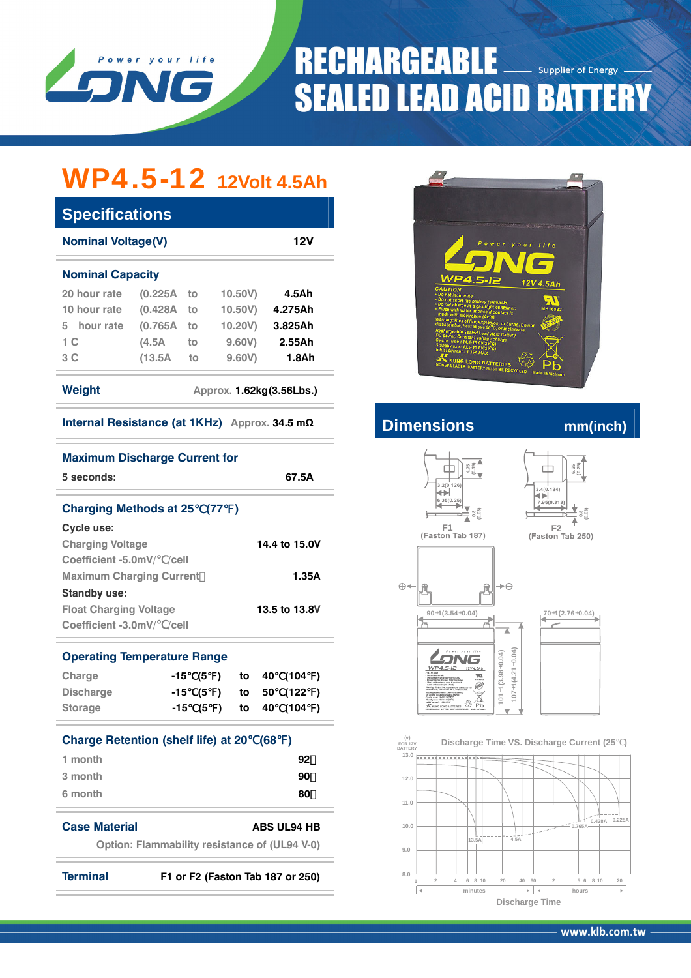

### **RECHARGEABLE Supplier of Energy SEALED LEAD ACID BATTERY**

## WP4.5-12 **12Volt 4.5Ah**

| 12V<br><b>Nominal Voltage(V)</b> |          |    |                          |         |  |  |
|----------------------------------|----------|----|--------------------------|---------|--|--|
| <b>Nominal Capacity</b>          |          |    |                          |         |  |  |
| 20 hour rate                     | (0.225A) | to | 10.50V                   | 4.5Ah   |  |  |
| 10 hour rate                     | (0.428A) | to | 10,50V                   | 4.275Ah |  |  |
| hour rate<br>5.                  | (0.765A) | to | 10.20V)                  | 3.825Ah |  |  |
| 1 C                              | (4.5A)   | to | 9,60V                    | 2.55Ah  |  |  |
| 3 C                              | (13.5A)  | to | 9,60V                    | 1.8Ah   |  |  |
| Weight                           |          |    | Approx. 1.62kg(3.56Lbs.) |         |  |  |

| Internal Resistance (at 1KHz) Approx. 34.5 mΩ |  |  |
|-----------------------------------------------|--|--|
|-----------------------------------------------|--|--|

| 5 seconds:                                                         | <b>Maximum Discharge Current for</b><br>67.5A                                                                                                                            | $4.75$<br>$(0.19)$<br>$6.35$<br>$(0.25)$<br>3.2(0.126)                                                                      |
|--------------------------------------------------------------------|--------------------------------------------------------------------------------------------------------------------------------------------------------------------------|-----------------------------------------------------------------------------------------------------------------------------|
|                                                                    | <b>Charging Methods at 25 (77)</b>                                                                                                                                       | 3.4(0.134)<br>+<br>+<br>6.35(0.25)<br>7.95(0.313)                                                                           |
| Cycle use:<br><b>Charging Voltage</b><br>Coefficient -5.0mV/ /cell | 14.4 to 15.0V                                                                                                                                                            | F1<br>F2<br>(Faston Tab 187)<br>(Faston Tab 250)                                                                            |
| <b>Maximum Charging Current</b><br><b>Standby use:</b>             | 1.35A                                                                                                                                                                    | $\oplus$<br>$\rightarrow \ominus$                                                                                           |
| <b>Float Charging Voltage</b><br>Coefficient -3.0mV/ /cell         | 13.5 to 13.8V                                                                                                                                                            | $90 \pm 1(3.54 \pm 0.04)$<br>$70 \pm 1(2.76 \pm 0.04)$                                                                      |
| <b>Operating Temperature Range</b>                                 |                                                                                                                                                                          | Power your life<br>WP4.5-I2<br>12V 4.5A                                                                                     |
| Charge<br><b>Discharge</b><br><b>Storage</b>                       | (104)<br>(5<br>40<br>-15<br>to<br>$\rightarrow$<br>(122)<br>$-15$<br>(5<br>50<br>to<br>$\rightarrow$<br>$\rightarrow$<br>(104)<br>(5<br>40<br>-15<br>to<br>$\rightarrow$ | $\pm$ 1(4.21 $\pm$ 0.04)<br>$101 \pm 1(3.98 \pm 0.04)$<br>20<br>$X$ K Kung LONG BATTERES $\overset{\text{(a)}}{\otimes}$ Pb |
|                                                                    | <b>Charge Retention (shelf life) at 20</b><br>(68<br>$\rightarrow$                                                                                                       | (v)<br>Discharge Time VS. Discharge Current (25<br><b>FOR 12V</b><br><b>BATTERY</b>                                         |
| 1 month                                                            | 92                                                                                                                                                                       | 13.0<br><b>ENERGERSEE ENGINE</b>                                                                                            |
| 3 month                                                            | 90                                                                                                                                                                       | 12.0                                                                                                                        |
| 6 month                                                            | 80                                                                                                                                                                       | 11.0                                                                                                                        |
| <b>Case Material</b>                                               | <b>ABS UL94 HB</b><br><b>Option: Flammability resistance of (UL94 V-0)</b>                                                                                               | $0.428A$ $0.22$<br>$= 0.765A -$<br>10.0<br>4.5A<br>13.5A<br>9.0                                                             |
| <b>Terminal</b>                                                    | F1 or F2 (Faston Tab 187 or 250)                                                                                                                                         | 8.0<br>5 6 8 10<br>$\overline{2}$<br>$\frac{4}{2}$<br>6 8 10<br>20<br>40 60<br>$\overline{2}$<br>20<br>$\mathbf{1}$         |



### **Internal Resistance (at 1KHz) Approx. 34.5 m<sup>Ω</sup> Dimensions mm(inch)**